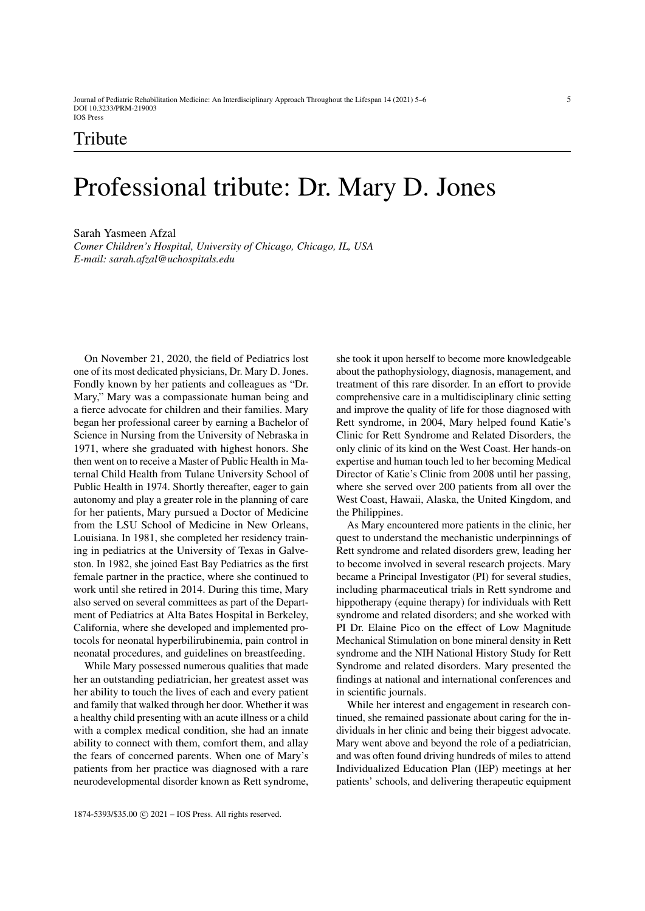Journal of Pediatric Rehabilitation Medicine: An Interdisciplinary Approach Throughout the Lifespan 14 (2021) 5–6 5 DOI 10.3233/PRM-219003 IOS Press

## Tribute

## Professional tribute: Dr. Mary D. Jones

Sarah Yasmeen Afzal *Comer Children's Hospital, University of Chicago, Chicago, IL, USA E-mail: sarah.afzal@uchospitals.edu*

On November 21, 2020, the field of Pediatrics lost one of its most dedicated physicians, Dr. Mary D. Jones. Fondly known by her patients and colleagues as "Dr. Mary," Mary was a compassionate human being and a fierce advocate for children and their families. Mary began her professional career by earning a Bachelor of Science in Nursing from the University of Nebraska in 1971, where she graduated with highest honors. She then went on to receive a Master of Public Health in Maternal Child Health from Tulane University School of Public Health in 1974. Shortly thereafter, eager to gain autonomy and play a greater role in the planning of care for her patients, Mary pursued a Doctor of Medicine from the LSU School of Medicine in New Orleans, Louisiana. In 1981, she completed her residency training in pediatrics at the University of Texas in Galveston. In 1982, she joined East Bay Pediatrics as the first female partner in the practice, where she continued to work until she retired in 2014. During this time, Mary also served on several committees as part of the Department of Pediatrics at Alta Bates Hospital in Berkeley, California, where she developed and implemented protocols for neonatal hyperbilirubinemia, pain control in neonatal procedures, and guidelines on breastfeeding.

While Mary possessed numerous qualities that made her an outstanding pediatrician, her greatest asset was her ability to touch the lives of each and every patient and family that walked through her door. Whether it was a healthy child presenting with an acute illness or a child with a complex medical condition, she had an innate ability to connect with them, comfort them, and allay the fears of concerned parents. When one of Mary's patients from her practice was diagnosed with a rare neurodevelopmental disorder known as Rett syndrome, she took it upon herself to become more knowledgeable about the pathophysiology, diagnosis, management, and treatment of this rare disorder. In an effort to provide comprehensive care in a multidisciplinary clinic setting and improve the quality of life for those diagnosed with Rett syndrome, in 2004, Mary helped found Katie's Clinic for Rett Syndrome and Related Disorders, the only clinic of its kind on the West Coast. Her hands-on expertise and human touch led to her becoming Medical Director of Katie's Clinic from 2008 until her passing, where she served over 200 patients from all over the West Coast, Hawaii, Alaska, the United Kingdom, and the Philippines.

As Mary encountered more patients in the clinic, her quest to understand the mechanistic underpinnings of Rett syndrome and related disorders grew, leading her to become involved in several research projects. Mary became a Principal Investigator (PI) for several studies, including pharmaceutical trials in Rett syndrome and hippotherapy (equine therapy) for individuals with Rett syndrome and related disorders; and she worked with PI Dr. Elaine Pico on the effect of Low Magnitude Mechanical Stimulation on bone mineral density in Rett syndrome and the NIH National History Study for Rett Syndrome and related disorders. Mary presented the findings at national and international conferences and in scientific journals.

While her interest and engagement in research continued, she remained passionate about caring for the individuals in her clinic and being their biggest advocate. Mary went above and beyond the role of a pediatrician, and was often found driving hundreds of miles to attend Individualized Education Plan (IEP) meetings at her patients' schools, and delivering therapeutic equipment